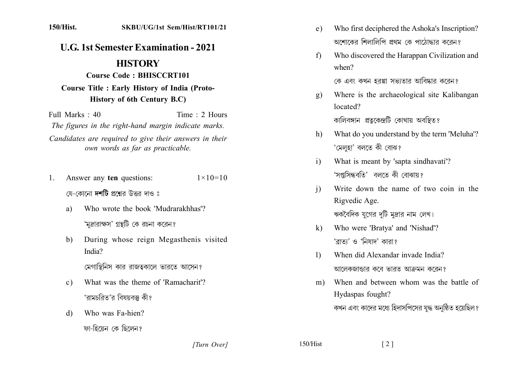## **U.G. 1st Semester Examination - 2021**

## **HISTORY**

## **Course Code: BHISCCRT101 Course Title : Early History of India (Proto-History of 6th Century B.C)**

Full Marks  $\cdot$  40 Time  $\cdot$  2 Hours The figures in the right-hand margin indicate marks. Candidates are required to give their answers in their own words as far as practicable.

- Answer any ten questions:  $1$  $1 \times 10 = 10$ যে-কোনো **দশটি** প্রশ্নের উত্তর দাও ঃ
	- Who wrote the book 'Mudrarakhhas'? a) 'মদ্রারাক্ষস' গ্রন্থটি কে রচনা করেন?
	- During whose reign Megasthenis visited b) India?

মেগাস্থিনিস কার রাজত্বকালে ভারতে আসেন?

- What was the theme of 'Ramacharit'?  $\mathbf{c}$ ) 'রামচরিত'র বিষয়বস্তু কী?
- Who was Fa-hien?  $\mathcal{A}$

ফা-হিয়েন কে ছিলেন?

- Who first deciphered the Ashoka's Inscription?  $e)$ অশোকের শিলালিপি প্রথম কে পাঠোদ্ধার করেন?
- Who discovered the Harappan Civilization and  $f$  $when?$ কে এবং কখন হরপ্পা সভাতার আবিষ্কার করেন?
- Where is the archaeological site Kalibangan  $g)$ located?

কালিবঙ্গান প্রত্নকেন্দ্রটি কোথায় অবস্থিত?

- What do you understand by the term 'Meluha'?  $h$ ) 'মেলহা' বলতে কী বোঝ?
- What is meant by 'sapta sindhavati'?  $i)$ 'সপ্তসিন্ধবতি' বলতে কী বোঝায়?
- Write down the name of two coin in the  $\mathbf{i}$ Rigvedic Age. ঋকবৈদিক যগের দটি মদ্রার নাম লেখ।
- Who were 'Bratya' and 'Nishad'?  $\bf k$ 'ব্ৰাত্য' ও 'নিষাদ' কারা?
- When did Alexandar invade India?  $\Gamma$ আলেকজান্ডার কবে ভারত আক্রমন করেন?
- When and between whom was the battle of  $m$ ) Hydaspas fought? কখন এবং কাদের মধ্যে হিদাসপিসের যুদ্ধ অনুষ্ঠিত হয়েছিল ?

[Turn Over]

 $150/Hist$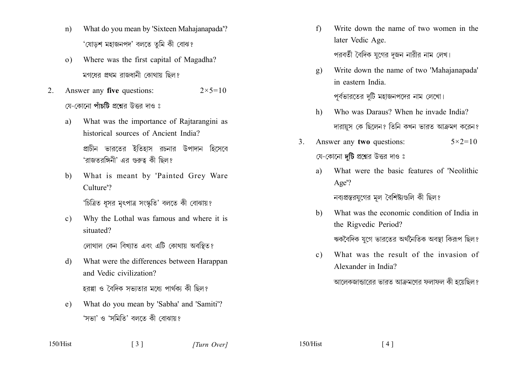- What do you mean by 'Sixteen Mahajanapada'?  $n)$ 'যোডশ মহাজনপদ' বলতে তুমি কী বোঝ?
- Where was the first capital of Magadha?  $\Omega$ মগধেব প্ৰথম বাজধানী কোথায় ছিল?
- Answer any five questions:  $2 \times 5 = 10$  $2^{\circ}$ য়ে-কোনো **পাঁচটি** প্রশ্নের উত্তর দাও ঃ
	- What was the importance of Rajtarangini as a) historical sources of Ancient India? প্রাচীন ভারতের ইতিহাস রচনার উপাদান হিসেবে 'রাজতরঙ্গিনী' এর গুরুত্ব কী ছিল?
	- $b)$ What is meant by 'Painted Grey Ware Culture'?

'চিত্রিত ধুসর মৃৎপাত্র সংস্কৃতি' বলতে কী বোঝায়?

Why the Lothal was famous and where it is  $c)$ situated?

লোথাল কেন বিখ্যাত এবং এটি কোথায় অবস্থিত?

What were the differences between Harappan d) and Vedic civilization?

হরপ্পা ও বৈদিক সভাতার মধ্যে পার্থকা কী ছিল?

What do you mean by 'Sabha' and 'Samiti'?  $e)$ 'সভা' ও 'সমিতি' বলতে কী বোঝায়?

 $\lceil 3 \rceil$ 

- $f$ Write down the name of two women in the later Vedic Age. পরবর্তী বৈদিক যগের দজন নারীর নাম লেখ।
- Write down the name of two 'Mahajanapada'  $\mathbf{g}$ ) in eastern India পূর্বভারতের দুটি মহাজনপদের নাম লেখো।
- Who was Daraus? When he invade India?  $h$ ) দারায়স কে ছিলেন? তিনি কখন ভারত আক্রমণ করেন?
- Answer any two questions:  $5 \times 2 = 10$  $\mathcal{E}$ যে-কোনো **দটি** প্রশ্নের উত্তর দাও ঃ
	- What were the basic features of 'Neolithic a) Age'?

নব্যপ্রস্তরযুগের মূল বৈশিষ্ট্যগুলি কী ছিল?

- What was the economic condition of India in  $h)$ the Rigvedic Period? ঋকবৈদিক যগে ভারতের অর্থনৈতিক অবস্থা কিরূপ ছিল?
- What was the result of the invasion of  $c)$ Alexander in India?

 $\lceil 4 \rceil$ 

আলেকজান্ডারের ভারত আক্রমণের ফলাফল কী হয়েছিল?

 $150/Hist$